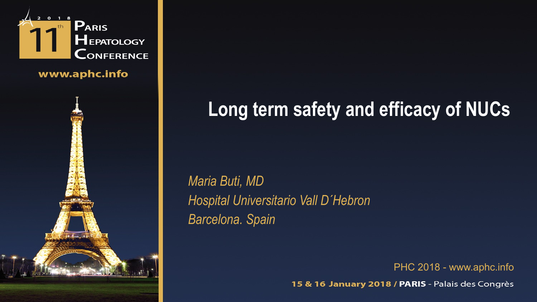

www.aphc.info



# **Long term safety and efficacy of NUCs**

*Maria Buti, MD Hospital Universitario Vall D´Hebron Barcelona. Spain*

PHC 2018 - www.aphc.info

15 & 16 January 2018 / PARIS - Palais des Congrès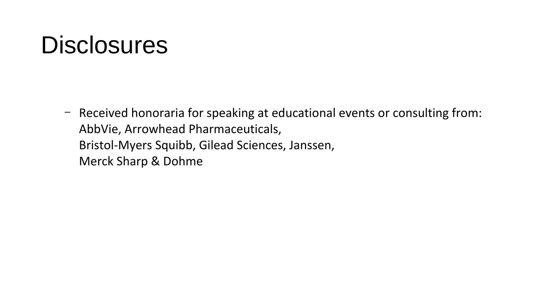# **Disclosures**

– Received honoraria for speaking at educational events or consulting from: AbbVie, Arrowhead Pharmaceuticals, Bristol-Myers Squibb, Gilead Sciences, Janssen, Merck Sharp & Dohme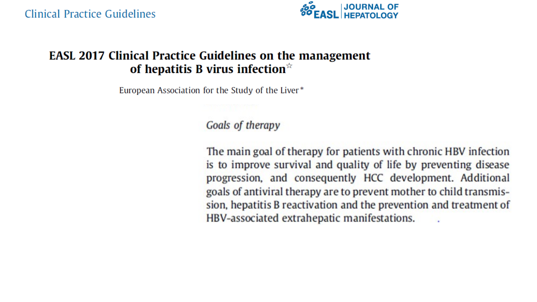

#### **EASL 2017 Clinical Practice Guidelines on the management** of hepatitis B virus infection $\mathbb{R}$

European Association for the Study of the Liver\*

#### Goals of therapy

The main goal of therapy for patients with chronic HBV infection is to improve survival and quality of life by preventing disease progression, and consequently HCC development. Additional goals of antiviral therapy are to prevent mother to child transmission, hepatitis B reactivation and the prevention and treatment of HBV-associated extrahepatic manifestations.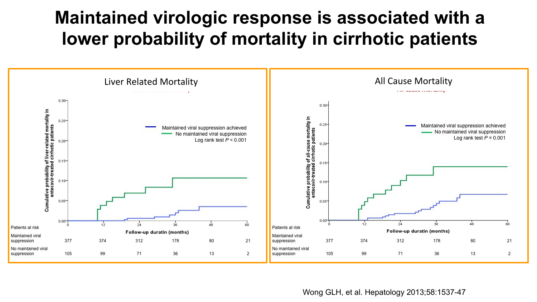# **Maintained virologic response is associated with a lower probability of mortality in cirrhotic patients**



Wong GLH, et al. Hepatology 2013;58:1537-47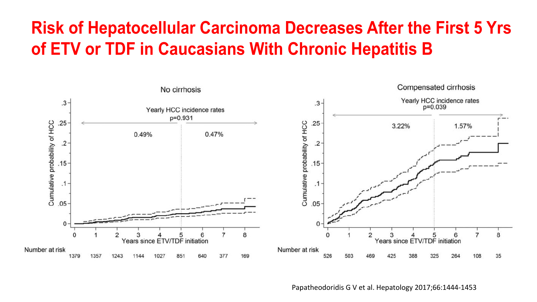## **Risk of Hepatocellular Carcinoma Decreases After the First 5 Yrs of ETV or TDF in Caucasians With Chronic Hepatitis B**



Papatheodoridis G V et al. Hepatology 2017;66:1444-1453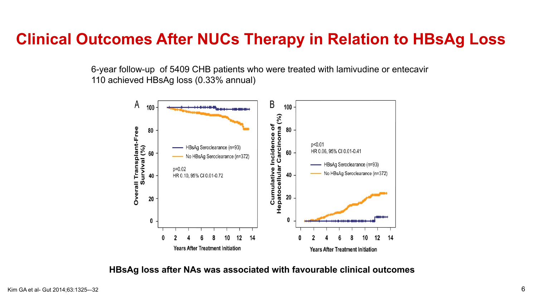#### **Clinical Outcomes After NUCs Therapy in Relation to HBsAg Loss**

6-year follow-up of 5409 CHB patients who were treated with lamivudine or entecavir 110 achieved HBsAg loss (0.33% annual)



**HBsAg loss after NAs was associated with favourable clinical outcomes**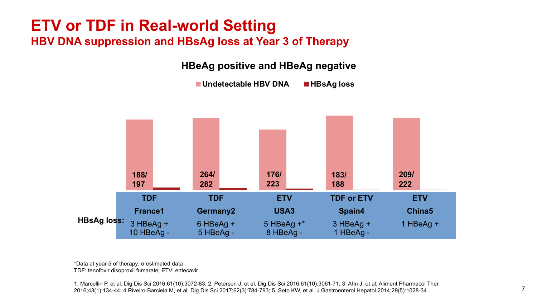#### **ETV or TDF in Real-world Setting HBV DNA suppression and HBsAg loss at Year 3 of Therapy**

**HBeAg positive and HBeAg negative**

■ Undetectable HBV DNA ■ HBsAg loss



\*Data at year 5 of therapy; σ estimated data TDF: tenofovir disoproxil fumarate; ETV: entecavir

1. Marcellin P, et al. Dig Dis Sci 2016;61(10):3072-83; 2. Petersen J, et al. Dig Dis Sci 2016;61(10):3061-71; 3. Ahn J, et al. Aliment Pharmacol Ther 2016;43(1):134-44; 4.Riveiro-Barciela M, et al. Dig Dis Sci 2017;62(3):784-793; 5. Seto KW, et al. J Gastroenterol Hepatol 2014;29(5):1028-34 7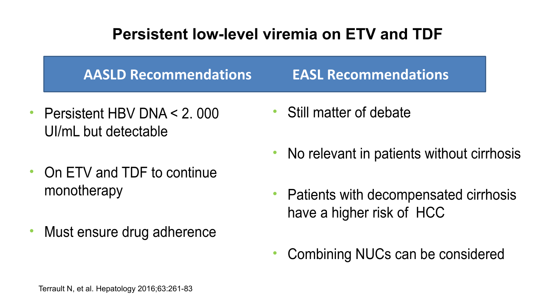### **Persistent low-level viremia on ETV and TDF**

**AASLD Recommendations EASL Recommendations**

- Persistent HBV DNA < 2. 000 UI/mL but detectable
- On ETV and TDF to continue monotherapy
- Must ensure drug adherence
- Still matter of debate
- No relevant in patients without cirrhosis
- Patients with decompensated cirrhosis have a higher risk of HCC
- Combining NUCs can be considered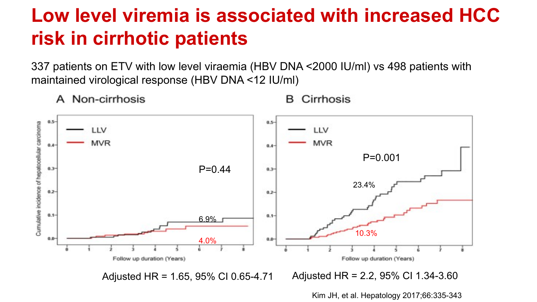# **Low level viremia is associated with increased HCC risk in cirrhotic patients**

337 patients on ETV with low level viraemia (HBV DNA <2000 IU/ml) vs 498 patients with maintained virological response (HBV DNA <12 IU/ml)



A Non-cirrhosis

Cirrhosis В.

Kim JH, et al. Hepatology 2017;66:335-343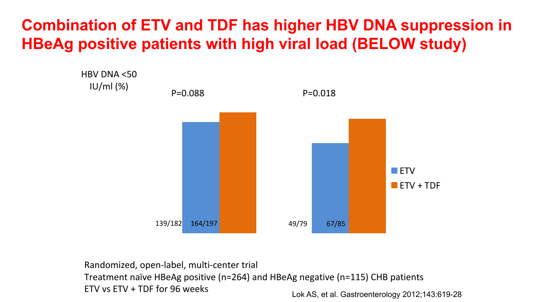### **Combination of ETV and TDF has higher HBV DNA suppression in HBeAg positive patients with high viral load (BELOW study)**



Lok AS, et al. Gastroenterology 2012;143:619-28 Randomized, open-label, multi-center trial Treatment naïve HBeAg positive (n=264) and HBeAg negative (n=115) CHB patients ETV vs ETV + TDF for 96 weeks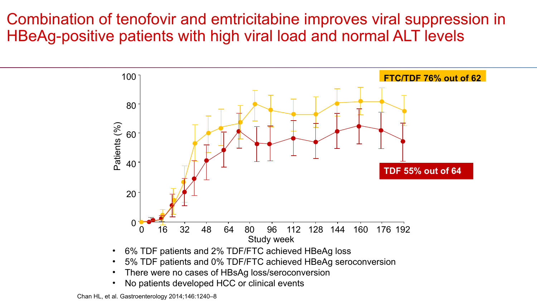#### Combination of tenofovir and emtricitabine improves viral suppression in HBeAg-positive patients with high viral load and normal ALT levels



- 6% TDF patients and 2% TDF/FTC achieved HBeAg loss
- 5% TDF patients and 0% TDF/FTC achieved HBeAg seroconversion
- There were no cases of HBsAg loss/seroconversion
- No patients developed HCC or clinical events

Chan HL, et al. Gastroenterology 2014;146:1240–8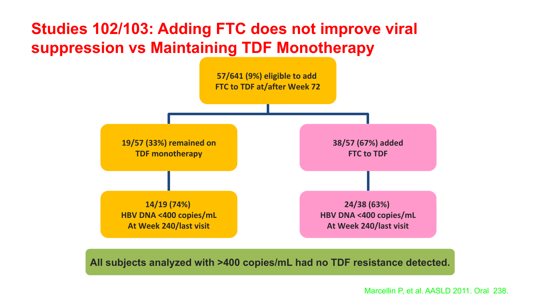### **Studies 102/103: Adding FTC does not improve viral suppression vs Maintaining TDF Monotherapy**



**All subjects analyzed with >400 copies/mL had no TDF resistance detected.**

Marcellin P, et al. AASLD 2011. Oral 238.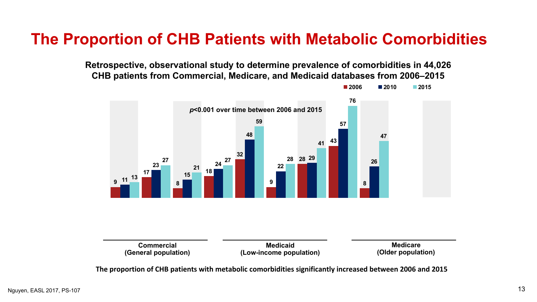#### **The Proportion of CHB Patients with Metabolic Comorbidities**

**Retrospective, observational study to determine prevalence of comorbidities in 44,026 CHB patients from Commercial, Medicare, and Medicaid databases from 2006–2015**





**The proportion of CHB patients with metabolic comorbidities significantly increased between 2006 and 2015**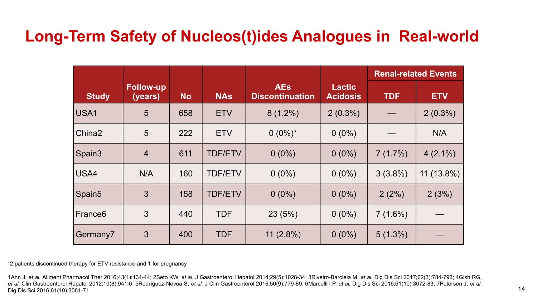#### **Long-Term Safety of Nucleos(t)ides Analogues in Real-world**

|                     |                             |           |                |                                      |                           | <b>Renal-related Events</b> |              |
|---------------------|-----------------------------|-----------|----------------|--------------------------------------|---------------------------|-----------------------------|--------------|
| <b>Study</b>        | <b>Follow-up</b><br>(years) | <b>No</b> | <b>NAs</b>     | <b>AEs</b><br><b>Discontinuation</b> | Lactic<br><b>Acidosis</b> | <b>TDF</b>                  | <b>ETV</b>   |
| USA1                | 5                           | 658       | <b>ETV</b>     | $8(1.2\%)$                           | $2(0.3\%)$                |                             | $2(0.3\%)$   |
| China <sub>2</sub>  | 5                           | 222       | <b>ETV</b>     | $0(0\%)^*$                           | $0(0\%)$                  |                             | N/A          |
| Spain3              | $\overline{4}$              | 611       | <b>TDF/ETV</b> | $0(0\%)$                             | $0(0\%)$                  | 7(1.7%)                     | $4(2.1\%)$   |
| USA4                | N/A                         | 160       | <b>TDF/ETV</b> | $0(0\%)$                             | $0(0\%)$                  | $3(3.8\%)$                  | $11(13.8\%)$ |
| Spain5              | $\mathbf{3}$                | 158       | <b>TDF/ETV</b> | $0(0\%)$                             | $0(0\%)$                  | 2(2%)                       | 2(3%)        |
| France <sub>6</sub> | 3                           | 440       | <b>TDF</b>     | 23(5%)                               | $0(0\%)$                  | $7(1.6\%)$                  |              |
| Germany7            | $\mathbf{3}$                | 400       | <b>TDF</b>     | 11 $(2.8\%)$                         | $0(0\%)$                  | $5(1.3\%)$                  |              |

\*2 patients discontinued therapy for ETV resistance and 1 for pregnancy

1Ahn J, *et al.* Aliment Pharmacol Ther 2016;43(1):134-44; 2Seto KW, *et al.* J Gastroenterol Hepatol 2014;29(5):1028-34; 3Riveiro-Barciela M, *et al.* Dig Dis Sci 2017;62(3):784-793; 4Gish RG, *et al.* Clin Gastroenterol Hepatol 2012;10(8):941-6; 5Rodríguez-Nóvoa S, *et al.* J Clin Gastroenterol 2016;50(9):779-89; 6Marcellin P, *et al.* Dig Dis Sci 2016;61(10):3072-83; 7Petersen J, *et al.*  Dig Dis Sci 2016;61(10):3061-71 14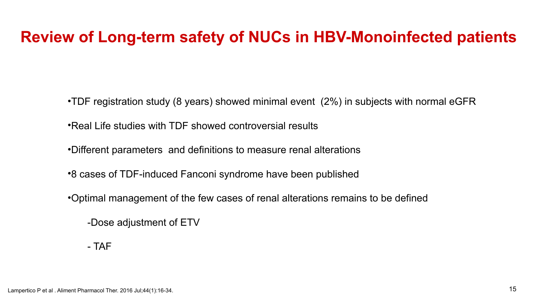#### **Review of Long-term safety of NUCs in HBV-Monoinfected patients**

•TDF registration study (8 years) showed minimal event (2%) in subjects with normal eGFR

•Real Life studies with TDF showed controversial results

•Different parameters and definitions to measure renal alterations

•8 cases of TDF-induced Fanconi syndrome have been published

•Optimal management of the few cases of renal alterations remains to be defined

-Dose adjustment of ETV

- TAF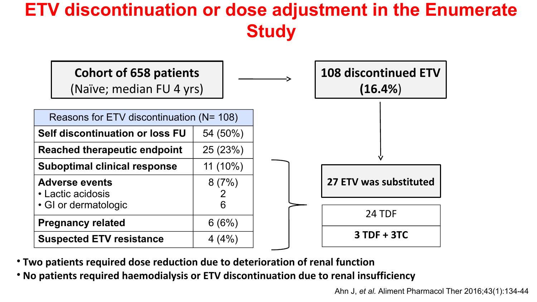## **ETV discontinuation or dose adjustment in the Enumerate Study**



- **Two patients required dose reduction due to deterioration of renal function**
- **No patients required haemodialysis or ETV discontinuation due to renal insufficiency**

Ahn J, *et al.* Aliment Pharmacol Ther 2016;43(1):134-44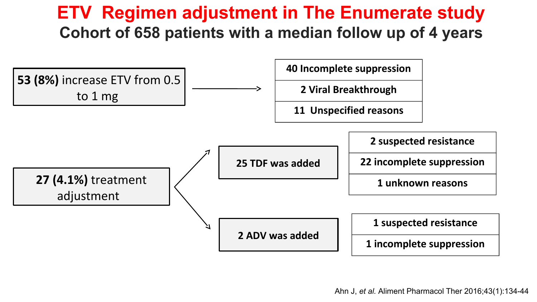### **ETV Regimen adjustment in The Enumerate study Cohort of 658 patients with a median follow up of 4 years**

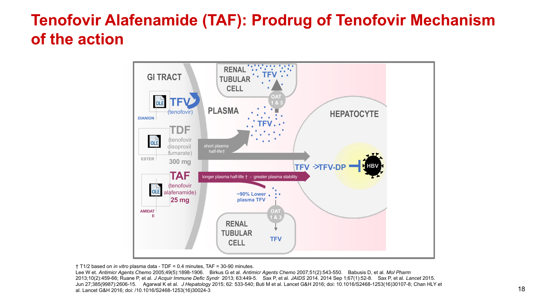### **Tenofovir Alafenamide (TAF): Prodrug of Tenofovir Mechanism of the action**



† T1/2 based on *in vitro* plasma data - TDF = 0.4 minutes, TAF = 30-90 minutes.

Lee W et. *Antimicr Agents Chemo* 2005;49(5):1898-1906. Birkus G et al. *Antimicr Agents Chemo* 2007;51(2):543-550. Babusis D, et al. *Mol Pharm* 2013;10(2):459-66; Ruane P, et al. *J Acquir Immune Defic Syndr* 2013; 63:449-5. Sax P, et al. *JAIDS* 2014. 2014 Sep 1;67(1):52-8. Sax P, et al. *Lancet* 2015. Jun 27;385(9987):2606-15. Agarwal K et al. *J Hepatology* 2015; 62: 533-540; Buti M et al. Lancet G&H 2016; doi: 10.1016/S2468-1253(16)30107-8; Chan HLY et al. Lancet G&H 2016; doi: /10.1016/S2468-1253(16)30024-3 18. 200 0 10, Ban Mickey Ban Editor Ban Let 10, 2016<br>al. Lancet G&H 2016; doi: /10.1016/S2468-1253(16)30024-3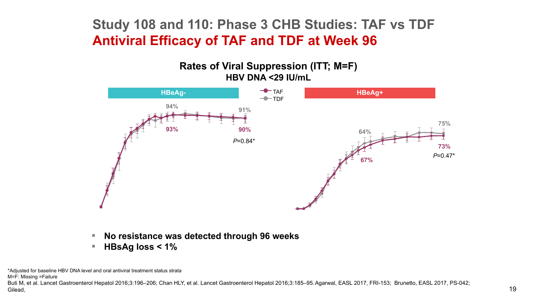#### **Study 108 and 110: Phase 3 CHB Studies: TAF vs TDF Antiviral Efficacy of TAF and TDF at Week 96**





- **No resistance was detected through 96 weeks**
- **HBsAg loss < 1%**

\*Adjusted for baseline HBV DNA level and oral antiviral treatment status strata

M=F: Missing =Failure

Buti M, et al. Lancet Gastroenterol Hepatol 2016;3:196–206; Chan HLY, et al. Lancet Gastroenterol Hepatol 2016;3:185–95.Agarwal, EASL 2017, FRI-153; Brunetto, EASL 2017, PS-042; Gilead,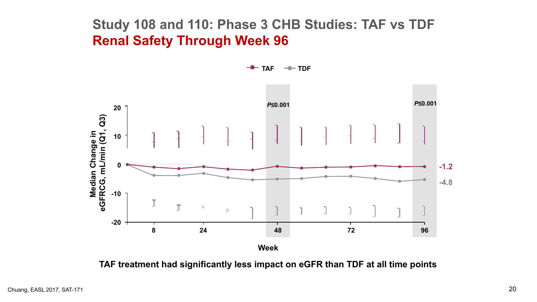#### **Study 108 and 110: Phase 3 CHB Studies: TAF vs TDF Renal Safety Through Week 96**

**TAF TDF**

*P***≤0.001** *P***≤0.00120 3) L/min (Q1, Q e in 10 g n a h -1.2 0** ပ -**G, m n dia -4.8 Ce R-10** <u>م</u> E **F**T. **G**T 1011  $\rm{J}^{\prime}$  $\mathbb{T}$  $10\%$ **e-20 8 24 48 72 96 Week**

**TAF treatment had significantly less impact on eGFR than TDF at all time points**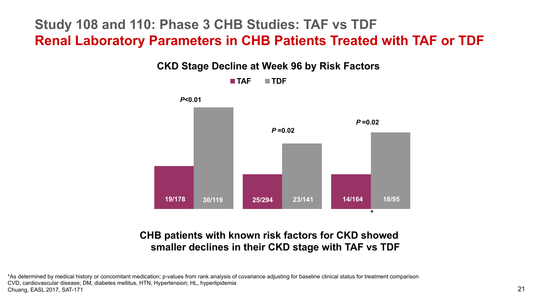#### **Study 108 and 110: Phase 3 CHB Studies: TAF vs TDF Renal Laboratory Parameters in CHB Patients Treated with TAF or TDF**



#### **CHB patients with known risk factors for CKD showed smaller declines in their CKD stage with TAF vs TDF**

\*As determined by medical history or concomitant medication; p-values from rank analysis of covariance adjusting for baseline clinical status for treatment comparison CVD, cardiovascular disease; DM, diabetes mellitus, HTN, Hypertension; HL, hyperlipidemia Chuang, EASL 2017, SAT-171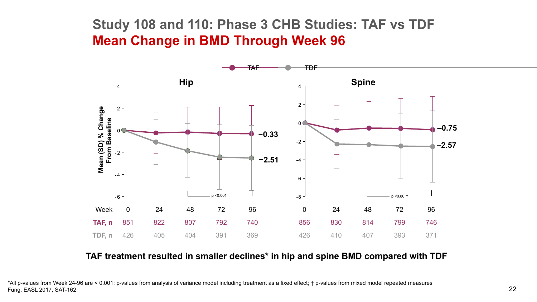#### **Study 108 and 110: Phase 3 CHB Studies: TAF vs TDF Mean Change in BMD Through Week 96**



#### **TAF treatment resulted in smaller declines\* in hip and spine BMD compared with TDF**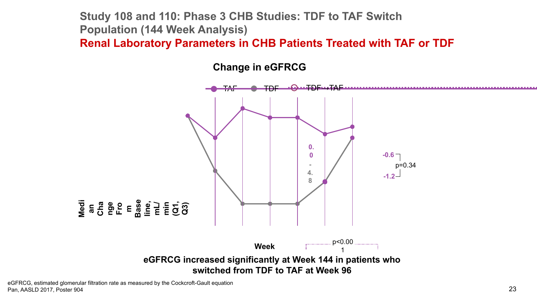**Study 108 and 110: Phase 3 CHB Studies: TDF to TAF Switch Population (144 Week Analysis) Renal Laboratory Parameters in CHB Patients Treated with TAF or TDF** 

**Change in eGFRCG**



eGFRCG, estimated glomerular filtration rate as measured by the Cockcroft-Gault equation Pan, AASLD 2017, Poster 904